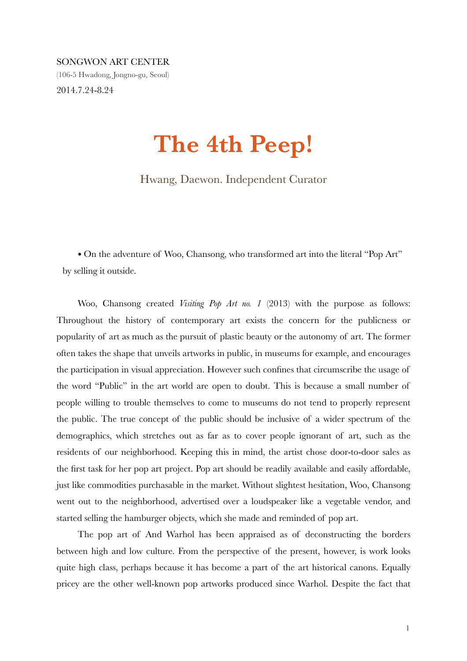## SONGWON ART CENTER

(106-5 Hwadong, Jongno-gu, Seoul) 2014.7.24-8.24

## **The 4th Peep!**

Hwang, Daewon. Independent Curator

• On the adventure of Woo, Chansong, who transformed art into the literal "Pop Art" by selling it outside.

Woo, Chansong created *Visiting Pop Art no. 1* (2013) with the purpose as follows: Throughout the history of contemporary art exists the concern for the publicness or popularity of art as much as the pursuit of plastic beauty or the autonomy of art. The former often takes the shape that unveils artworks in public, in museums for example, and encourages the participation in visual appreciation. However such confines that circumscribe the usage of the word "Public" in the art world are open to doubt. This is because a small number of people willing to trouble themselves to come to museums do not tend to properly represent the public. The true concept of the public should be inclusive of a wider spectrum of the demographics, which stretches out as far as to cover people ignorant of art, such as the residents of our neighborhood. Keeping this in mind, the artist chose door-to-door sales as the first task for her pop art project. Pop art should be readily available and easily affordable, just like commodities purchasable in the market. Without slightest hesitation, Woo, Chansong went out to the neighborhood, advertised over a loudspeaker like a vegetable vendor, and started selling the hamburger objects, which she made and reminded of pop art.

The pop art of And Warhol has been appraised as of deconstructing the borders between high and low culture. From the perspective of the present, however, is work looks quite high class, perhaps because it has become a part of the art historical canons. Equally pricey are the other well-known pop artworks produced since Warhol. Despite the fact that